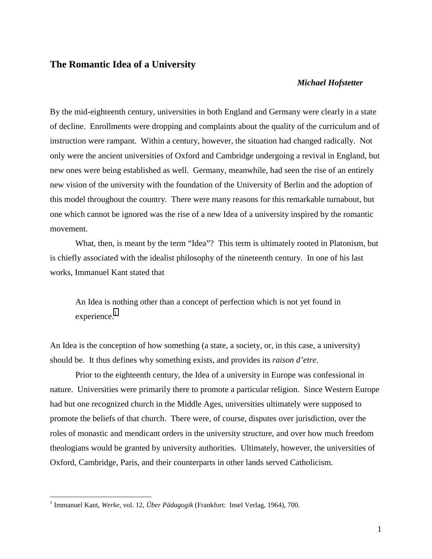## **The Romantic Idea of a University**

## *Michael Hofstetter*

By the mid-eighteenth century, universities in both England and Germany were clearly in a state of decline. Enrollments were dropping and complaints about the quality of the curriculum and of instruction were rampant. Within a century, however, the situation had changed radically. Not only were the ancient universities of Oxford and Cambridge undergoing a revival in England, but new ones were being established as well. Germany, meanwhile, had seen the rise of an entirely new vision of the university with the foundation of the University of Berlin and the adoption of this model throughout the country. There were many reasons for this remarkable turnabout, but one which cannot be ignored was the rise of a new Idea of a university inspired by the romantic movement.

What, then, is meant by the term "Idea"? This term is ultimately rooted in Platonism, but is chiefly associated with the idealist philosophy of the nineteenth century. In one of his last works, Immanuel Kant stated that

An Idea is nothing other than a concept of perfection which is not yet found in  $experience.<sup>1</sup>$ 

An Idea is the conception of how something (a state, a society, or, in this case, a university) should be. It thus defines why something exists, and provides its *raison d'etre*.

Prior to the eighteenth century, the Idea of a university in Europe was confessional in nature. Universities were primarily there to promote a particular religion. Since Western Europe had but one recognized church in the Middle Ages, universities ultimately were supposed to promote the beliefs of that church. There were, of course, disputes over jurisdiction, over the roles of monastic and mendicant orders in the university structure, and over how much freedom theologians would be granted by university authorities. Ultimately, however, the universities of Oxford, Cambridge, Paris, and their counterparts in other lands served Catholicism.

<sup>1</sup> Immanuel Kant, *Werke*, vol. 12, *Über Pädagogik* (Frankfort: Insel Verlag, 1964), 700.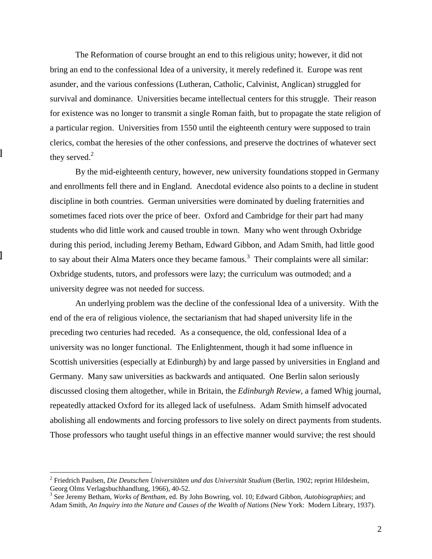The Reformation of course brought an end to this religious unity; however, it did not bring an end to the confessional Idea of a university, it merely redefined it. Europe was rent asunder, and the various confessions (Lutheran, Catholic, Calvinist, Anglican) struggled for survival and dominance. Universities became intellectual centers for this struggle. Their reason for existence was no longer to transmit a single Roman faith, but to propagate the state religion of a particular region. Universities from 1550 until the eighteenth century were supposed to train clerics, combat the heresies of the other confessions, and preserve the doctrines of whatever sect they served. $2$ 

By the mid-eighteenth century, however, new university foundations stopped in Germany and enrollments fell there and in England. Anecdotal evidence also points to a decline in student discipline in both countries. German universities were dominated by dueling fraternities and sometimes faced riots over the price of beer. Oxford and Cambridge for their part had many students who did little work and caused trouble in town. Many who went through Oxbridge during this period, including Jeremy Betham, Edward Gibbon, and Adam Smith, had little good to say about their Alma Maters once they became famous.<sup>3</sup> Their complaints were all similar: Oxbridge students, tutors, and professors were lazy; the curriculum was outmoded; and a university degree was not needed for success.

An underlying problem was the decline of the confessional Idea of a university. With the end of the era of religious violence, the sectarianism that had shaped university life in the preceding two centuries had receded. As a consequence, the old, confessional Idea of a university was no longer functional. The Enlightenment, though it had some influence in Scottish universities (especially at Edinburgh) by and large passed by universities in England and Germany. Many saw universities as backwards and antiquated. One Berlin salon seriously discussed closing them altogether, while in Britain, the *Edinburgh Review*, a famed Whig journal, repeatedly attacked Oxford for its alleged lack of usefulness. Adam Smith himself advocated abolishing all endowments and forcing professors to live solely on direct payments from students. Those professors who taught useful things in an effective manner would survive; the rest should

<sup>2</sup> Friedrich Paulsen, *Die Deutschen Universitäten und das Universität Studium* (Berlin, 1902; reprint Hildesheim, Georg Olms Verlagsbuchhandlung, 1966), 40-52.

<sup>3</sup> See Jeremy Betham, *Works of Bentham*, ed. By John Bowring, vol. 10; Edward Gibbon, *Autobiographies*; and Adam Smith, *An Inquiry into the Nature and Causes of the Wealth of Nations* (New York: Modern Library, 1937).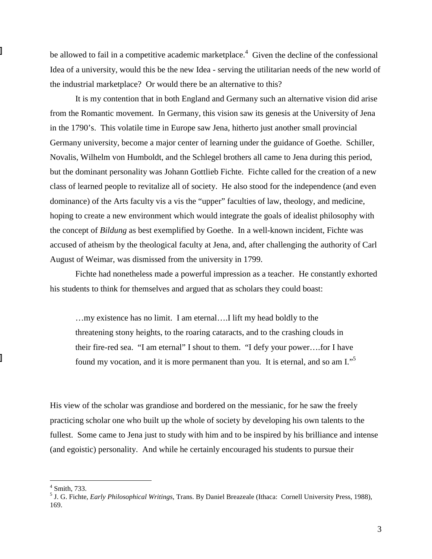be allowed to fail in a competitive academic marketplace.<sup>4</sup> Given the decline of the confessional Idea of a university, would this be the new Idea - serving the utilitarian needs of the new world of the industrial marketplace? Or would there be an alternative to this?

It is my contention that in both England and Germany such an alternative vision did arise from the Romantic movement. In Germany, this vision saw its genesis at the University of Jena in the 1790's. This volatile time in Europe saw Jena, hitherto just another small provincial Germany university, become a major center of learning under the guidance of Goethe. Schiller, Novalis, Wilhelm von Humboldt, and the Schlegel brothers all came to Jena during this period, but the dominant personality was Johann Gottlieb Fichte. Fichte called for the creation of a new class of learned people to revitalize all of society. He also stood for the independence (and even dominance) of the Arts faculty vis a vis the "upper" faculties of law, theology, and medicine, hoping to create a new environment which would integrate the goals of idealist philosophy with the concept of *Bildung* as best exemplified by Goethe. In a well-known incident, Fichte was accused of atheism by the theological faculty at Jena, and, after challenging the authority of Carl August of Weimar, was dismissed from the university in 1799.

Fichte had nonetheless made a powerful impression as a teacher. He constantly exhorted his students to think for themselves and argued that as scholars they could boast:

…my existence has no limit. I am eternal….I lift my head boldly to the threatening stony heights, to the roaring cataracts, and to the crashing clouds in their fire-red sea. "I am eternal" I shout to them. "I defy your power….for I have found my vocation, and it is more permanent than you. It is eternal, and so am I."5

His view of the scholar was grandiose and bordered on the messianic, for he saw the freely practicing scholar one who built up the whole of society by developing his own talents to the fullest. Some came to Jena just to study with him and to be inspired by his brilliance and intense (and egoistic) personality. And while he certainly encouraged his students to pursue their

 4 Smith, 733. 5 J. G. Fichte, *Early Philosophical Writings*, Trans. By Daniel Breazeale (Ithaca: Cornell University Press, 1988), 169.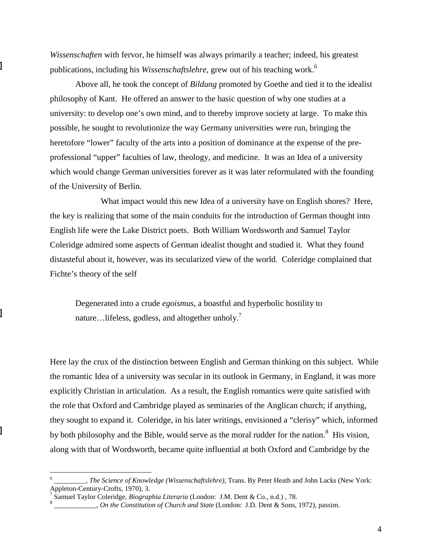*Wissenschaften* with fervor, he himself was always primarily a teacher; indeed, his greatest publications, including his *Wissenschaftslehre*, grew out of his teaching work.<sup>6</sup>

Above all, he took the concept of *Bildung* promoted by Goethe and tied it to the idealist philosophy of Kant. He offered an answer to the basic question of why one studies at a university: to develop one's own mind, and to thereby improve society at large. To make this possible, he sought to revolutionize the way Germany universities were run, bringing the heretofore "lower" faculty of the arts into a position of dominance at the expense of the preprofessional "upper" faculties of law, theology, and medicine. It was an Idea of a university which would change German universities forever as it was later reformulated with the founding of the University of Berlin.

What impact would this new Idea of a university have on English shores? Here, the key is realizing that some of the main conduits for the introduction of German thought into English life were the Lake District poets. Both William Wordsworth and Samuel Taylor Coleridge admired some aspects of German idealist thought and studied it. What they found distasteful about it, however, was its secularized view of the world. Coleridge complained that Fichte's theory of the self

Degenerated into a crude *egoismus*, a boastful and hyperbolic hostility to nature…lifeless, godless, and altogether unholy.<sup>7</sup>

Here lay the crux of the distinction between English and German thinking on this subject. While the romantic Idea of a university was secular in its outlook in Germany, in England, it was more explicitly Christian in articulation. As a result, the English romantics were quite satisfied with the role that Oxford and Cambridge played as seminaries of the Anglican church; if anything, they sought to expand it. Coleridge, in his later writings, envisioned a "clerisy" which, informed by both philosophy and the Bible, would serve as the moral rudder for the nation.<sup>8</sup> His vision, along with that of Wordsworth, became quite influential at both Oxford and Cambridge by the

<sup>6</sup> \_\_\_\_\_\_\_\_\_, *The Science of Knowledge (Wissenschaftslehre)*, Trans. By Peter Heath and John Lacks (New York: Appleton-Century-Crofts, 1970), 3.<br><sup>7</sup> Samuel Toylor Coloridge, *Biograp* 

Samuel Taylor Coleridge, *Biographia Literaria* (London: J.M. Dent & Co., n.d.), 78.

\_\_\_\_\_\_\_\_\_\_\_\_, *On the Constitution of Church and State* (London: J.D. Dent & Sons, 1972), passim.